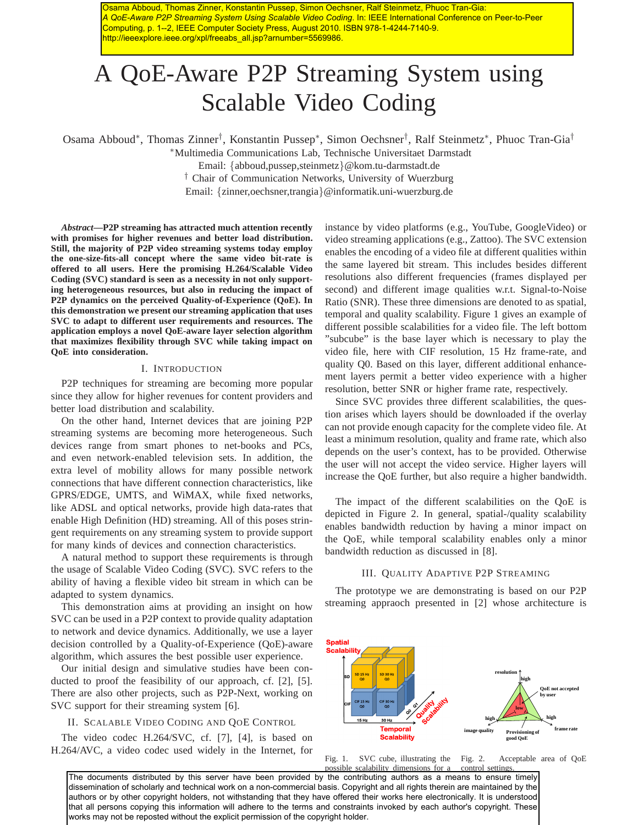Osama Abboud, Thomas Zinner, Konstantin Pussep, Simon Oechsner, Ralf Steinmetz, Phuoc Tran-Gia: *A QoE-Aware P2P Streaming System Using Scalable Video Coding*. In: IEEE International Conference on Peer-to-Peer Computing, p. 1--2, IEEE Computer Society Press, August 2010. ISBN 978-1-4244-7140-9. http://ieeexplore.ieee.org/xpl/freeabs\_all.jsp?arnumber=5569986.

# A QoE-Aware P2P Streaming System using Scalable Video Coding

Osama Abboud<sup>∗</sup> , Thomas Zinner† , Konstantin Pussep<sup>∗</sup> , Simon Oechsner† , Ralf Steinmetz<sup>∗</sup> , Phuoc Tran-Gia†

<sup>∗</sup>Multimedia Communications Lab, Technische Universitaet Darmstadt

Email: {abboud,pussep,steinmetz}@kom.tu-darmstadt.de

† Chair of Communication Networks, University of Wuerzburg

Email: {zinner,oechsner,trangia}@informatik.uni-wuerzburg.de

*Abstract***—P2P streaming has attracted much attention recently with promises for higher revenues and better load distribution. Still, the majority of P2P video streaming systems today employ the one-size-fits-all concept where the same video bit-rate is offered to all users. Here the promising H.264/Scalable Video Coding (SVC) standard is seen as a necessity in not only supporting heterogeneous resources, but also in reducing the impact of P2P dynamics on the perceived Quality-of-Experience (QoE). In this demonstration we present our streaming application that uses SVC to adapt to different user requirements and resources. The application employs a novel QoE-aware layer selection algorithm that maximizes flexibility through SVC while taking impact on QoE into consideration.**

#### I. INTRODUCTION

P2P techniques for streaming are becoming more popular since they allow for higher revenues for content providers and better load distribution and scalability.

On the other hand, Internet devices that are joining P2P streaming systems are becoming more heterogeneous. Such devices range from smart phones to net-books and PCs, and even network-enabled television sets. In addition, the extra level of mobility allows for many possible network connections that have different connection characteristics, like GPRS/EDGE, UMTS, and WiMAX, while fixed networks, like ADSL and optical networks, provide high data-rates that enable High Definition (HD) streaming. All of this poses stringent requirements on any streaming system to provide support for many kinds of devices and connection characteristics.

A natural method to support these requirements is through the usage of Scalable Video Coding (SVC). SVC refers to the ability of having a flexible video bit stream in which can be adapted to system dynamics.

This demonstration aims at providing an insight on how SVC can be used in a P2P context to provide quality adaptation to network and device dynamics. Additionally, we use a layer decision controlled by a Quality-of-Experience (QoE)-aware algorithm, which assures the best possible user experience.

Our initial design and simulative studies have been conducted to proof the feasibility of our approach, cf. [2], [5]. There are also other projects, such as P2P-Next, working on SVC support for their streaming system [6].

# II. SCALABLE VIDEO CODING AND QOE CONTROL

The video codec H.264/SVC, cf. [7], [4], is based on H.264/AVC, a video codec used widely in the Internet, for instance by video platforms (e.g., YouTube, GoogleVideo) or video streaming applications (e.g., Zattoo). The SVC extension enables the encoding of a video file at different qualities within the same layered bit stream. This includes besides different resolutions also different frequencies (frames displayed per second) and different image qualities w.r.t. Signal-to-Noise Ratio (SNR). These three dimensions are denoted to as spatial, temporal and quality scalability. Figure 1 gives an example of different possible scalabilities for a video file. The left bottom "subcube" is the base layer which is necessary to play the video file, here with CIF resolution, 15 Hz frame-rate, and quality Q0. Based on this layer, different additional enhancement layers permit a better video experience with a higher resolution, better SNR or higher frame rate, respectively.

Since SVC provides three different scalabilities, the question arises which layers should be downloaded if the overlay can not provide enough capacity for the complete video file. At least a minimum resolution, quality and frame rate, which also depends on the user's context, has to be provided. Otherwise the user will not accept the video service. Higher layers will increase the QoE further, but also require a higher bandwidth.

The impact of the different scalabilities on the QoE is depicted in Figure 2. In general, spatial-/quality scalability enables bandwidth reduction by having a minor impact on the QoE, while temporal scalability enables only a minor bandwidth reduction as discussed in [8].

## III. QUALITY ADAPTIVE P2P STREAMING

The prototype we are demonstrating is based on our P2P streaming appraoch presented in [2] whose architecture is



Fig. 1. SVC cube, illustrating the Fig. 2. possible scalability dimensions for a Acceptable area of OoE control settings.

The documents distributed by this server have been provided by the contributing authors as a means to ensure timely dissemination of scholarly and technical work on a non-commercial basis. Copyright and all rights therein are maintained by the authors or by other copyright holders, not withstanding that they have offered their works here electronically. It is understood that all persons copying this information will adhere to the terms and constraints invoked by each author's copyright. These works may not be reposted without the explicit permission of the copyright holder.